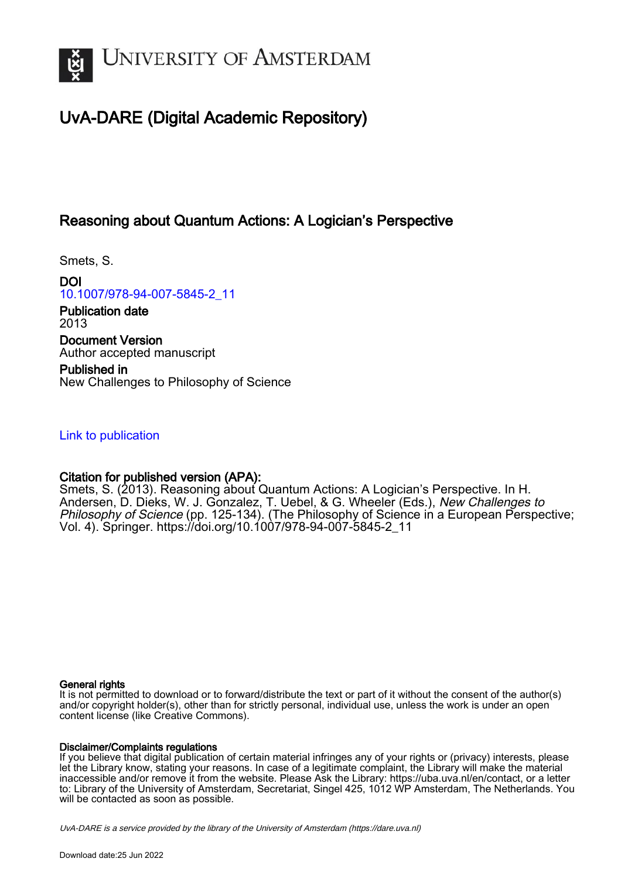

# UvA-DARE (Digital Academic Repository)

### Reasoning about Quantum Actions: A Logician's Perspective

Smets, S.

DOI [10.1007/978-94-007-5845-2\\_11](https://doi.org/10.1007/978-94-007-5845-2_11)

Publication date 2013 Document Version Author accepted manuscript

Published in New Challenges to Philosophy of Science

#### [Link to publication](https://dare.uva.nl/personal/pure/en/publications/reasoning-about-quantum-actions-a-logicians-perspective(f2274db6-d721-46d0-ae69-cdefa2411b83).html)

#### Citation for published version (APA):

Smets, S. (2013). Reasoning about Quantum Actions: A Logician's Perspective. In H. Andersen, D. Dieks, W. J. Gonzalez, T. Uebel, & G. Wheeler (Eds.), New Challenges to Philosophy of Science (pp. 125-134). (The Philosophy of Science in a European Perspective; Vol. 4). Springer. [https://doi.org/10.1007/978-94-007-5845-2\\_11](https://doi.org/10.1007/978-94-007-5845-2_11)

#### General rights

It is not permitted to download or to forward/distribute the text or part of it without the consent of the author(s) and/or copyright holder(s), other than for strictly personal, individual use, unless the work is under an open content license (like Creative Commons).

#### Disclaimer/Complaints regulations

If you believe that digital publication of certain material infringes any of your rights or (privacy) interests, please let the Library know, stating your reasons. In case of a legitimate complaint, the Library will make the material inaccessible and/or remove it from the website. Please Ask the Library: https://uba.uva.nl/en/contact, or a letter to: Library of the University of Amsterdam, Secretariat, Singel 425, 1012 WP Amsterdam, The Netherlands. You will be contacted as soon as possible.

UvA-DARE is a service provided by the library of the University of Amsterdam (http*s*://dare.uva.nl)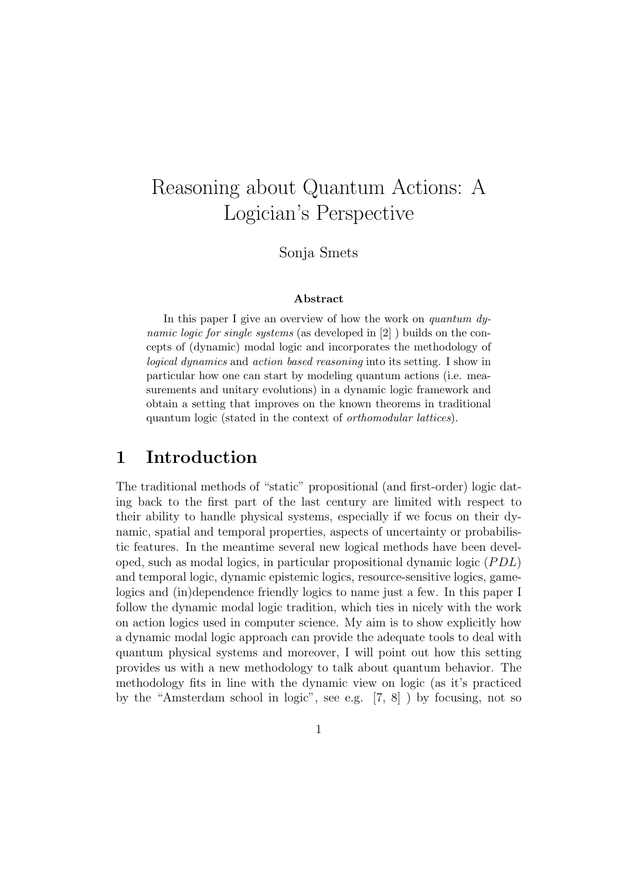# Reasoning about Quantum Actions: A Logician's Perspective

Sonja Smets

#### Abstract

In this paper I give an overview of how the work on quantum  $dy$ namic logic for single systems (as developed in [2] ) builds on the concepts of (dynamic) modal logic and incorporates the methodology of logical dynamics and action based reasoning into its setting. I show in particular how one can start by modeling quantum actions (i.e. measurements and unitary evolutions) in a dynamic logic framework and obtain a setting that improves on the known theorems in traditional quantum logic (stated in the context of orthomodular lattices).

### 1 Introduction

The traditional methods of "static" propositional (and first-order) logic dating back to the first part of the last century are limited with respect to their ability to handle physical systems, especially if we focus on their dynamic, spatial and temporal properties, aspects of uncertainty or probabilistic features. In the meantime several new logical methods have been developed, such as modal logics, in particular propositional dynamic logic  $(PDL)$ and temporal logic, dynamic epistemic logics, resource-sensitive logics, gamelogics and (in)dependence friendly logics to name just a few. In this paper I follow the dynamic modal logic tradition, which ties in nicely with the work on action logics used in computer science. My aim is to show explicitly how a dynamic modal logic approach can provide the adequate tools to deal with quantum physical systems and moreover, I will point out how this setting provides us with a new methodology to talk about quantum behavior. The methodology fits in line with the dynamic view on logic (as it's practiced by the "Amsterdam school in logic", see e.g. [7, 8] ) by focusing, not so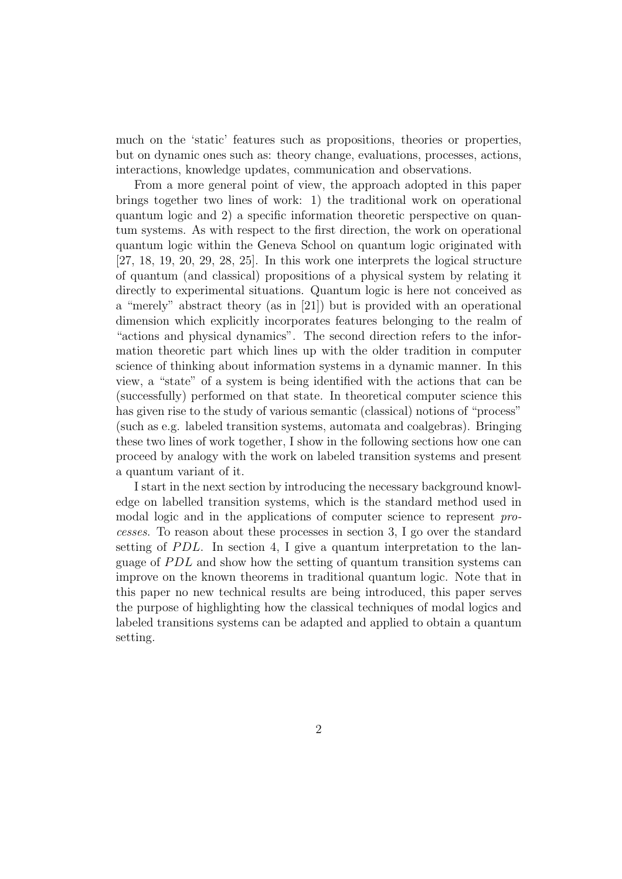much on the 'static' features such as propositions, theories or properties, but on dynamic ones such as: theory change, evaluations, processes, actions, interactions, knowledge updates, communication and observations.

From a more general point of view, the approach adopted in this paper brings together two lines of work: 1) the traditional work on operational quantum logic and 2) a specific information theoretic perspective on quantum systems. As with respect to the first direction, the work on operational quantum logic within the Geneva School on quantum logic originated with [27, 18, 19, 20, 29, 28, 25]. In this work one interprets the logical structure of quantum (and classical) propositions of a physical system by relating it directly to experimental situations. Quantum logic is here not conceived as a "merely" abstract theory (as in [21]) but is provided with an operational dimension which explicitly incorporates features belonging to the realm of "actions and physical dynamics". The second direction refers to the information theoretic part which lines up with the older tradition in computer science of thinking about information systems in a dynamic manner. In this view, a "state" of a system is being identified with the actions that can be (successfully) performed on that state. In theoretical computer science this has given rise to the study of various semantic (classical) notions of "process" (such as e.g. labeled transition systems, automata and coalgebras). Bringing these two lines of work together, I show in the following sections how one can proceed by analogy with the work on labeled transition systems and present a quantum variant of it.

I start in the next section by introducing the necessary background knowledge on labelled transition systems, which is the standard method used in modal logic and in the applications of computer science to represent *processes*. To reason about these processes in section 3, I go over the standard setting of  $PDL$ . In section 4, I give a quantum interpretation to the language of  $PDL$  and show how the setting of quantum transition systems can improve on the known theorems in traditional quantum logic. Note that in this paper no new technical results are being introduced, this paper serves the purpose of highlighting how the classical techniques of modal logics and labeled transitions systems can be adapted and applied to obtain a quantum setting.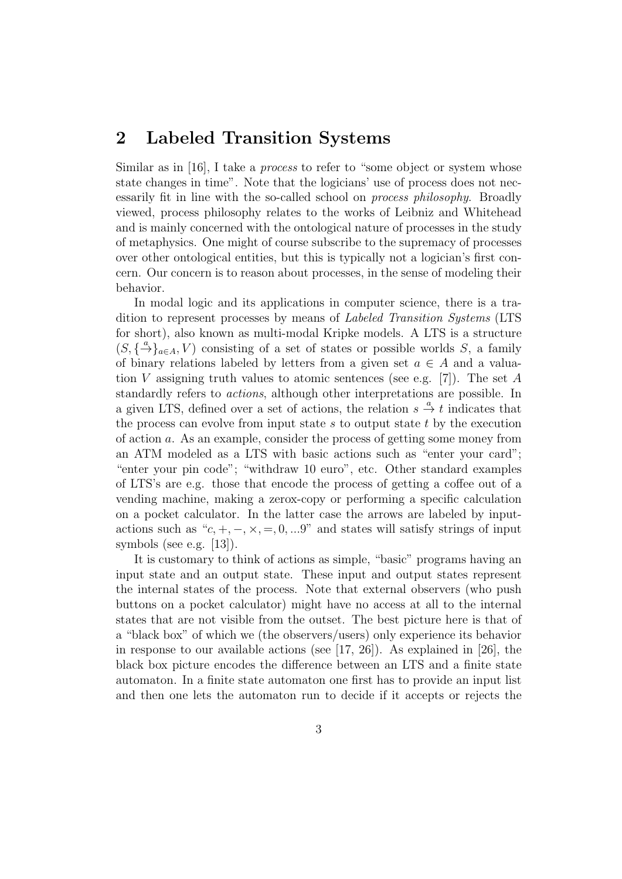## 2 Labeled Transition Systems

Similar as in [16], I take a *process* to refer to "some object or system whose state changes in time". Note that the logicians' use of process does not necessarily fit in line with the so-called school on *process philosophy*. Broadly viewed, process philosophy relates to the works of Leibniz and Whitehead and is mainly concerned with the ontological nature of processes in the study of metaphysics. One might of course subscribe to the supremacy of processes over other ontological entities, but this is typically not a logician's first concern. Our concern is to reason about processes, in the sense of modeling their behavior.

In modal logic and its applications in computer science, there is a tradition to represent processes by means of *Labeled Transition Systems* (LTS for short), also known as multi-modal Kripke models. A LTS is a structure  $(S, \{\stackrel{a}{\rightarrow}\}_{{a\in A}}, V)$  consisting of a set of states or possible worlds S, a family of binary relations labeled by letters from a given set  $a \in A$  and a valuation V assigning truth values to atomic sentences (see e.g. [7]). The set A standardly refers to *actions*, although other interpretations are possible. In a given LTS, defined over a set of actions, the relation  $s \stackrel{a}{\rightarrow} t$  indicates that the process can evolve from input state s to output state t by the execution of action a. As an example, consider the process of getting some money from an ATM modeled as a LTS with basic actions such as "enter your card"; "enter your pin code"; "withdraw 10 euro", etc. Other standard examples of LTS's are e.g. those that encode the process of getting a coffee out of a vending machine, making a zerox-copy or performing a specific calculation on a pocket calculator. In the latter case the arrows are labeled by inputactions such as " $c, +, -, \times, =, 0, ...9$ " and states will satisfy strings of input symbols (see e.g. [13]).

It is customary to think of actions as simple, "basic" programs having an input state and an output state. These input and output states represent the internal states of the process. Note that external observers (who push buttons on a pocket calculator) might have no access at all to the internal states that are not visible from the outset. The best picture here is that of a "black box" of which we (the observers/users) only experience its behavior in response to our available actions (see [17, 26]). As explained in [26], the black box picture encodes the difference between an LTS and a finite state automaton. In a finite state automaton one first has to provide an input list and then one lets the automaton run to decide if it accepts or rejects the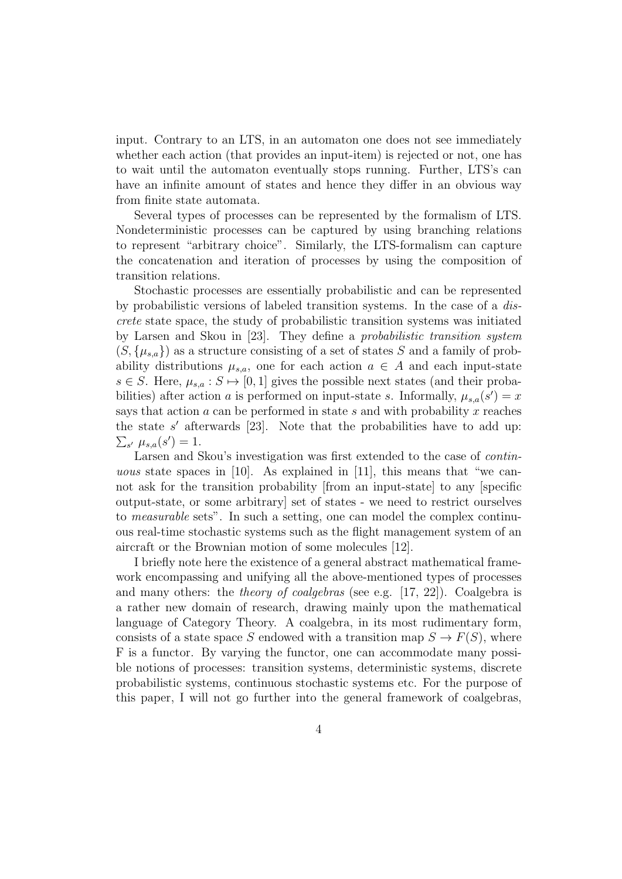input. Contrary to an LTS, in an automaton one does not see immediately whether each action (that provides an input-item) is rejected or not, one has to wait until the automaton eventually stops running. Further, LTS's can have an infinite amount of states and hence they differ in an obvious way from finite state automata.

Several types of processes can be represented by the formalism of LTS. Nondeterministic processes can be captured by using branching relations to represent "arbitrary choice". Similarly, the LTS-formalism can capture the concatenation and iteration of processes by using the composition of transition relations.

Stochastic processes are essentially probabilistic and can be represented by probabilistic versions of labeled transition systems. In the case of a *discrete* state space, the study of probabilistic transition systems was initiated by Larsen and Skou in [23]. They define a *probabilistic transition system*  $(S, {\mu_{s,a}})$  as a structure consisting of a set of states S and a family of probability distributions  $\mu_{s,a}$ , one for each action  $a \in A$  and each input-state  $s \in S$ . Here,  $\mu_{s,a}: S \mapsto [0,1]$  gives the possible next states (and their probabilities) after action a is performed on input-state s. Informally,  $\mu_{s,a}(s') = x$ says that action  $a$  can be performed in state  $s$  and with probability  $x$  reaches the state  $s'$  afterwards [23]. Note that the probabilities have to add up:  $\sum_{s'} \mu_{s,a}(s') = 1.$ 

Larsen and Skou's investigation was first extended to the case of *continuous* state spaces in [10]. As explained in [11], this means that "we cannot ask for the transition probability [from an input-state] to any [specific output-state, or some arbitrary] set of states - we need to restrict ourselves to *measurable* sets". In such a setting, one can model the complex continuous real-time stochastic systems such as the flight management system of an aircraft or the Brownian motion of some molecules [12].

I briefly note here the existence of a general abstract mathematical framework encompassing and unifying all the above-mentioned types of processes and many others: the *theory of coalgebras* (see e.g. [17, 22]). Coalgebra is a rather new domain of research, drawing mainly upon the mathematical language of Category Theory. A coalgebra, in its most rudimentary form, consists of a state space S endowed with a transition map  $S \to F(S)$ , where F is a functor. By varying the functor, one can accommodate many possible notions of processes: transition systems, deterministic systems, discrete probabilistic systems, continuous stochastic systems etc. For the purpose of this paper, I will not go further into the general framework of coalgebras,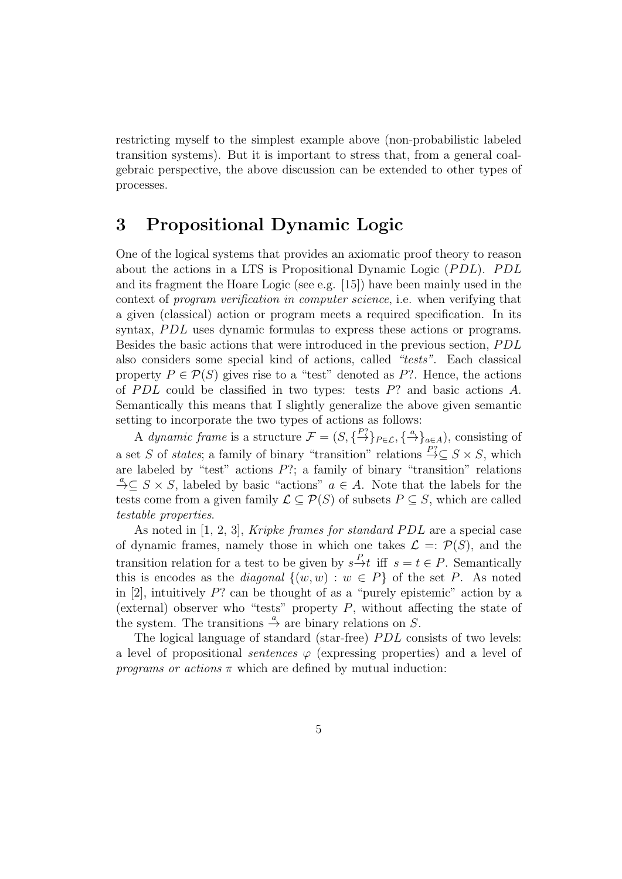restricting myself to the simplest example above (non-probabilistic labeled transition systems). But it is important to stress that, from a general coalgebraic perspective, the above discussion can be extended to other types of processes.

### 3 Propositional Dynamic Logic

One of the logical systems that provides an axiomatic proof theory to reason about the actions in a LTS is Propositional Dynamic Logic  $( PDL)$ .  $PDL$ and its fragment the Hoare Logic (see e.g. [15]) have been mainly used in the context of *program verification in computer science*, i.e. when verifying that a given (classical) action or program meets a required specification. In its syntax, PDL uses dynamic formulas to express these actions or programs. Besides the basic actions that were introduced in the previous section, PDL also considers some special kind of actions, called *"tests"*. Each classical property  $P \in \mathcal{P}(S)$  gives rise to a "test" denoted as P?. Hence, the actions of PDL could be classified in two types: tests  $P$ ? and basic actions A. Semantically this means that I slightly generalize the above given semantic setting to incorporate the two types of actions as follows:

A *dynamic frame* is a structure  $\mathcal{F} = (S, \{ \stackrel{P?}{\to} \}_{P \in \mathcal{L}}, \{ \stackrel{a}{\to} \}_{a \in A})$ , consisting of a set S of *states*; a family of binary "transition" relations  $\stackrel{P?}{\rightarrow} \subset S \times S$ , which are labeled by "test" actions  $P$ ?; a family of binary "transition" relations  $\stackrel{a}{\to} \subseteq S \times S$ , labeled by basic "actions"  $a \in A$ . Note that the labels for the tests come from a given family  $\mathcal{L} \subset \mathcal{P}(S)$  of subsets  $P \subset S$ , which are called *testable properties*.

As noted in [1, 2, 3], *Kripke frames for standard PDL* are a special case of dynamic frames, namely those in which one takes  $\mathcal{L} = \mathcal{P}(S)$ , and the transition relation for a test to be given by  $s \stackrel{P}{\to} t$  iff  $s = t \in P$ . Semantically this is encodes as the *diagonal*  $\{(w, w) : w \in P\}$  of the set P. As noted in  $[2]$ , intuitively P? can be thought of as a "purely epistemic" action by a (external) observer who "tests" property  $P$ , without affecting the state of the system. The transitions  $\stackrel{a}{\rightarrow}$  are binary relations on S.

The logical language of standard (star-free) *PDL* consists of two levels: a level of propositional *sentences*  $\varphi$  (expressing properties) and a level of *programs or actions*  $\pi$  which are defined by mutual induction: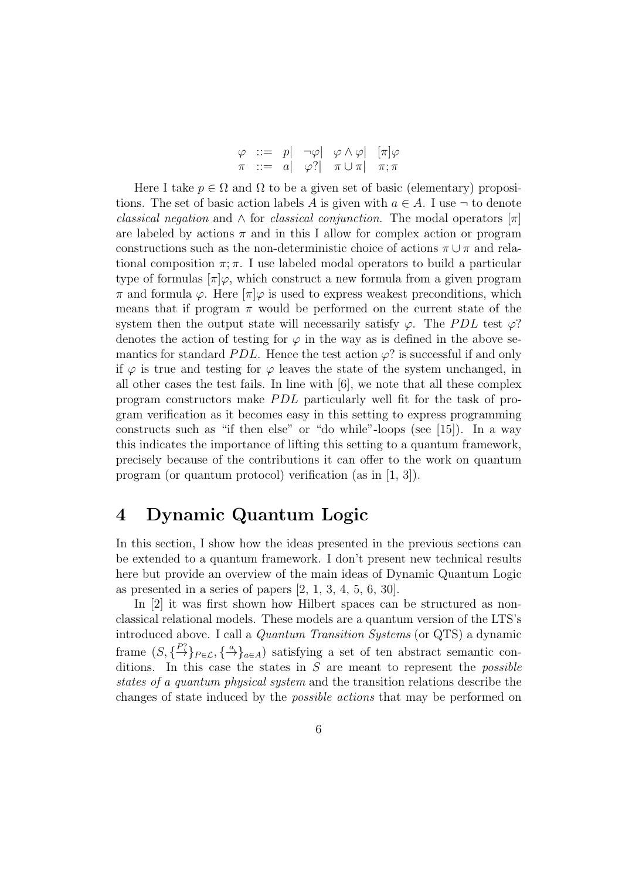|  |  | $\varphi \ ::= p   \neg \varphi   \varphi \wedge \varphi   [\pi] \varphi$ |  |
|--|--|---------------------------------------------------------------------------|--|
|  |  | $\pi \ ::= a \vert \varphi? \vert \pi \cup \pi \vert \pi; \pi$            |  |

Here I take  $p \in \Omega$  and  $\Omega$  to be a given set of basic (elementary) propositions. The set of basic action labels A is given with  $a \in A$ . I use  $\neg$  to denote *classical negation* and  $\wedge$  for *classical conjunction*. The modal operators  $\pi$ are labeled by actions  $\pi$  and in this I allow for complex action or program constructions such as the non-deterministic choice of actions  $\pi \cup \pi$  and relational composition  $\pi$ ;  $\pi$ . I use labeled modal operators to build a particular type of formulas  $\lceil \pi \rceil \varphi$ , which construct a new formula from a given program  $\pi$  and formula  $\varphi$ . Here  $\pi$   $\varphi$  is used to express weakest preconditions, which means that if program  $\pi$  would be performed on the current state of the system then the output state will necessarily satisfy  $\varphi$ . The PDL test  $\varphi$ ? denotes the action of testing for  $\varphi$  in the way as is defined in the above semantics for standard *PDL*. Hence the test action  $\varphi$ ? is successful if and only if  $\varphi$  is true and testing for  $\varphi$  leaves the state of the system unchanged, in all other cases the test fails. In line with [6], we note that all these complex program constructors make PDL particularly well fit for the task of program verification as it becomes easy in this setting to express programming constructs such as "if then else" or "do while"-loops (see [15]). In a way this indicates the importance of lifting this setting to a quantum framework, precisely because of the contributions it can offer to the work on quantum program (or quantum protocol) verification (as in [1, 3]).

### 4 Dynamic Quantum Logic

In this section, I show how the ideas presented in the previous sections can be extended to a quantum framework. I don't present new technical results here but provide an overview of the main ideas of Dynamic Quantum Logic as presented in a series of papers  $[2, 1, 3, 4, 5, 6, 30]$ .

In [2] it was first shown how Hilbert spaces can be structured as nonclassical relational models. These models are a quantum version of the LTS's introduced above. I call a *Quantum Transition Systems* (or QTS) a dynamic frame  $(S, \{\stackrel{P?}{\rightarrow}\}_P \in \mathcal{L}}, \{\stackrel{a}{\rightarrow}\}_a \in A)$  satisfying a set of ten abstract semantic conditions. In this case the states in S are meant to represent the *possible states of a quantum physical system* and the transition relations describe the changes of state induced by the *possible actions* that may be performed on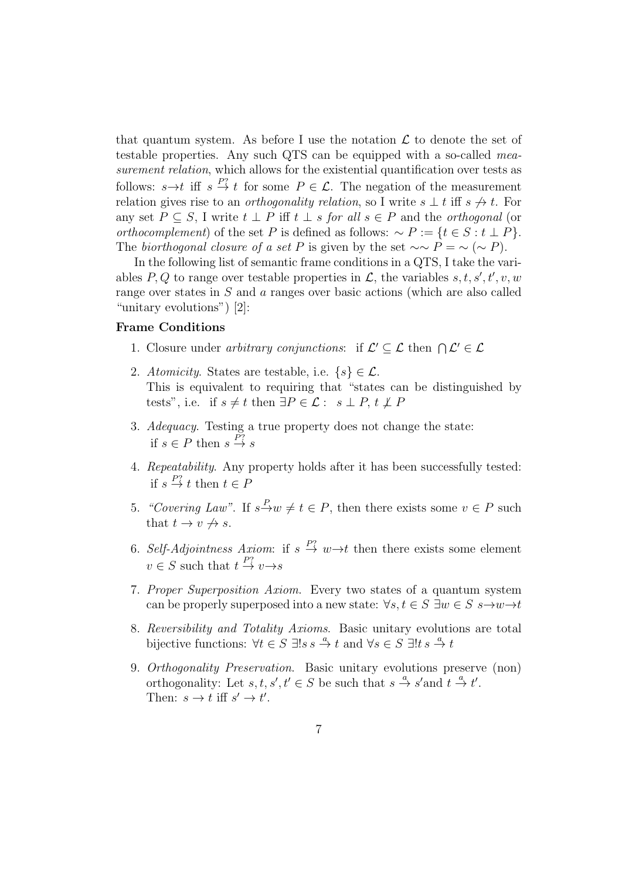that quantum system. As before I use the notation  $\mathcal L$  to denote the set of testable properties. Any such QTS can be equipped with a so-called *measurement relation*, which allows for the existential quantification over tests as follows:  $s \rightarrow t$  iff  $s \stackrel{P?}{\rightarrow} t$  for some  $P \in \mathcal{L}$ . The negation of the measurement relation gives rise to an *orthogonality relation*, so I write  $s \perp t$  iff  $s \nightharpoonup t$ . For any set  $P \subseteq S$ , I write  $t \perp P$  iff  $t \perp s$  *for all*  $s \in P$  and the *orthogonal* (or *orthocomplement*) of the set P is defined as follows:  $\sim P := \{t \in S : t \perp P\}.$ The *biorthogonal closure of a set* P is given by the set  $\sim \sim P = \sim (\sim P)$ .

In the following list of semantic frame conditions in a QTS, I take the variables P, Q to range over testable properties in  $\mathcal{L}$ , the variables s, t, s', t', v, w range over states in S and a ranges over basic actions (which are also called "unitary evolutions") [2]:

#### Frame Conditions

- 1. Closure under *arbitrary conjunctions*: if  $\mathcal{L}' \subseteq \mathcal{L}$  then  $\bigcap \mathcal{L}' \in \mathcal{L}$
- 2. *Atomicity*. States are testable, i.e.  $\{s\} \in \mathcal{L}$ . This is equivalent to requiring that "states can be distinguished by tests", i.e. if  $s \neq t$  then  $\exists P \in \mathcal{L} : s \perp P, t \not\perp P$
- 3. *Adequacy*. Testing a true property does not change the state: if  $s \in P$  then  $s \stackrel{P?}{\rightarrow} s$
- 4. *Repeatability*. Any property holds after it has been successfully tested: if  $s \stackrel{P?}{\rightarrow} t$  then  $t \in F$
- 5. *"Covering Law"*. If  $s \xrightarrow{P} w \neq t \in P$ , then there exists some  $v \in P$  such that  $t \to v \nleftrightarrow s$ .
- 6. Self-Adjointness Axiom: if  $s \stackrel{P?}{\rightarrow} w \rightarrow t$  then there exists some element  $v \in S$  such that  $t \stackrel{P?}{\to} v \rightarrow s$
- 7. *Proper Superposition Axiom*. Every two states of a quantum system can be properly superposed into a new state:  $\forall s, t \in S \exists w \in S \ s \rightarrow w \rightarrow t$
- 8. *Reversibility and Totality Axioms*. Basic unitary evolutions are total bijective functions:  $\forall t \in S \exists ! s s \stackrel{a}{\to} t$  and  $\forall s \in S \exists ! t s \stackrel{a}{\to} t$
- 9. *Orthogonality Preservation*. Basic unitary evolutions preserve (non) orthogonality: Let  $s, t, s', t' \in S$  be such that  $s \stackrel{a}{\to} s'$  and  $t \stackrel{a}{\to} t'$ . Then:  $s \to t$  iff  $s' \to t'$ .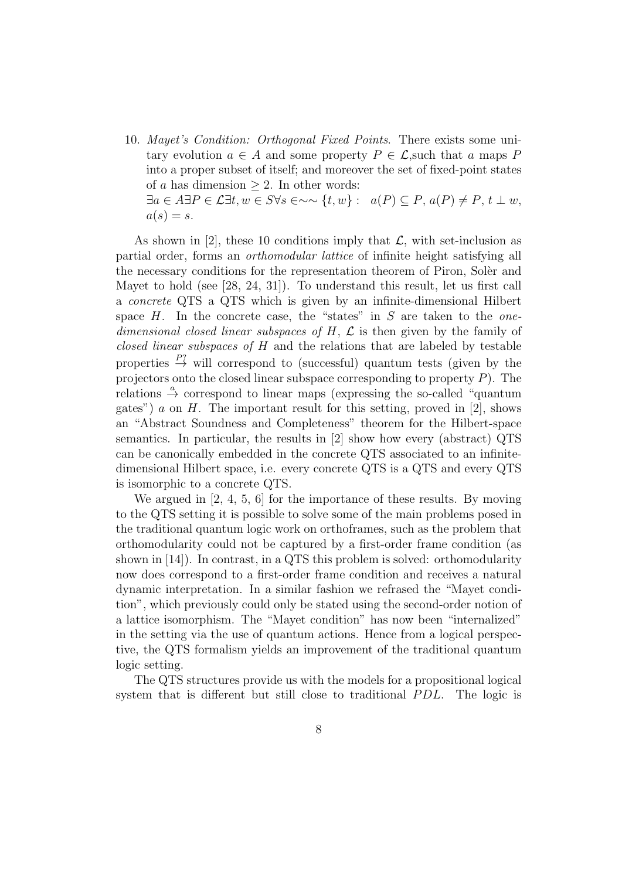10. *Mayet's Condition: Orthogonal Fixed Points*. There exists some unitary evolution  $a \in A$  and some property  $P \in \mathcal{L}$ , such that a maps P into a proper subset of itself; and moreover the set of fixed-point states of a has dimension  $\geq 2$ . In other words:  $\exists a \in A \exists P \in \mathcal{L} \exists t, w \in S \forall s \in \sim \forall t, w \} : a(P) \subseteq P, a(P) \neq P, t \perp w,$  $a(s) = s.$ 

As shown in [2], these 10 conditions imply that  $\mathcal{L}$ , with set-inclusion as partial order, forms an *orthomodular lattice* of infinite height satisfying all the necessary conditions for the representation theorem of Piron, Soler and Mayet to hold (see [28, 24, 31]). To understand this result, let us first call a *concrete* QTS a QTS which is given by an infinite-dimensional Hilbert space H. In the concrete case, the "states" in S are taken to the *onedimensional closed linear subspaces of* H, L is then given by the family of *closed linear subspaces of* H and the relations that are labeled by testable properties  $\stackrel{P?}{\rightarrow}$  will correspond to (successful) quantum tests (given by the projectors onto the closed linear subspace corresponding to property  $P$ ). The relations  $\stackrel{a}{\rightarrow}$  correspond to linear maps (expressing the so-called "quantum gates") a on H. The important result for this setting, proved in [2], shows an "Abstract Soundness and Completeness" theorem for the Hilbert-space semantics. In particular, the results in [2] show how every (abstract) QTS can be canonically embedded in the concrete QTS associated to an infinitedimensional Hilbert space, i.e. every concrete QTS is a QTS and every QTS is isomorphic to a concrete QTS.

We argued in [2, 4, 5, 6] for the importance of these results. By moving to the QTS setting it is possible to solve some of the main problems posed in the traditional quantum logic work on orthoframes, such as the problem that orthomodularity could not be captured by a first-order frame condition (as shown in [14]). In contrast, in a QTS this problem is solved: orthomodularity now does correspond to a first-order frame condition and receives a natural dynamic interpretation. In a similar fashion we refrased the "Mayet condition", which previously could only be stated using the second-order notion of a lattice isomorphism. The "Mayet condition" has now been "internalized" in the setting via the use of quantum actions. Hence from a logical perspective, the QTS formalism yields an improvement of the traditional quantum logic setting.

The QTS structures provide us with the models for a propositional logical system that is different but still close to traditional *PDL*. The logic is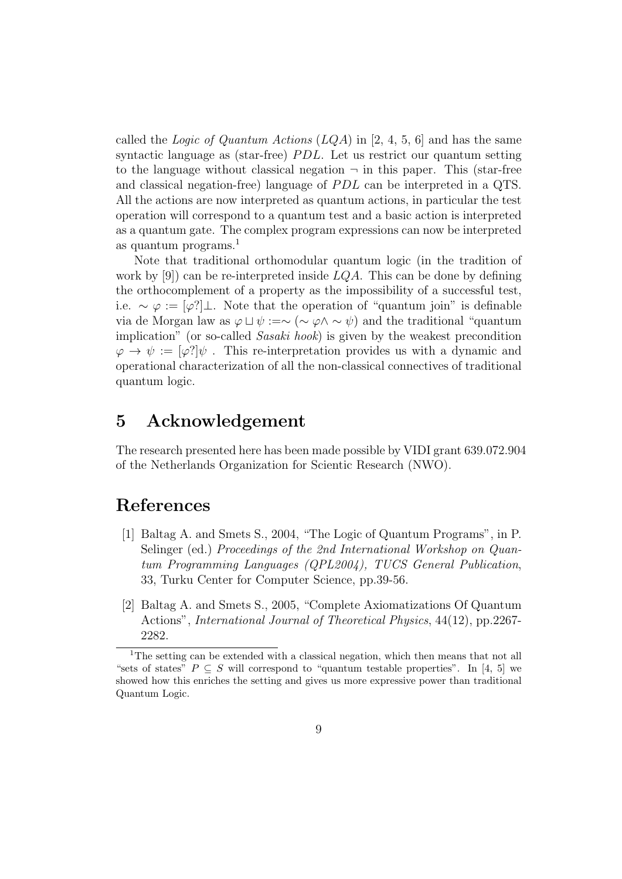called the *Logic of Quantum Actions* (LQA) in [2, 4, 5, 6] and has the same syntactic language as (star-free)  $PDL$ . Let us restrict our quantum setting to the language without classical negation  $\neg$  in this paper. This (star-free and classical negation-free) language of *PDL* can be interpreted in a QTS. All the actions are now interpreted as quantum actions, in particular the test operation will correspond to a quantum test and a basic action is interpreted as a quantum gate. The complex program expressions can now be interpreted as quantum programs. $<sup>1</sup>$ </sup>

Note that traditional orthomodular quantum logic (in the tradition of work by [9]) can be re-interpreted inside  $LQA$ . This can be done by defining the orthocomplement of a property as the impossibility of a successful test, i.e.  $\sim \varphi := [\varphi'] \bot$ . Note that the operation of "quantum join" is definable via de Morgan law as  $\varphi \sqcup \psi := \sim (\sim \varphi \land \sim \psi)$  and the traditional "quantum" implication" (or so-called *Sasaki hook*) is given by the weakest precondition  $\varphi \to \psi := [\varphi']\psi$ . This re-interpretation provides us with a dynamic and operational characterization of all the non-classical connectives of traditional quantum logic.

### 5 Acknowledgement

The research presented here has been made possible by VIDI grant 639.072.904 of the Netherlands Organization for Scientic Research (NWO).

# References

- [1] Baltag A. and Smets S., 2004, "The Logic of Quantum Programs", in P. Selinger (ed.) *Proceedings of the 2nd International Workshop on Quantum Programming Languages (QPL2004), TUCS General Publication*, 33, Turku Center for Computer Science, pp.39-56.
- [2] Baltag A. and Smets S., 2005, "Complete Axiomatizations Of Quantum Actions", *International Journal of Theoretical Physics*, 44(12), pp.2267- 2282.

<sup>&</sup>lt;sup>1</sup>The setting can be extended with a classical negation, which then means that not all "sets of states"  $P \subseteq S$  will correspond to "quantum testable properties". In [4, 5] we showed how this enriches the setting and gives us more expressive power than traditional Quantum Logic.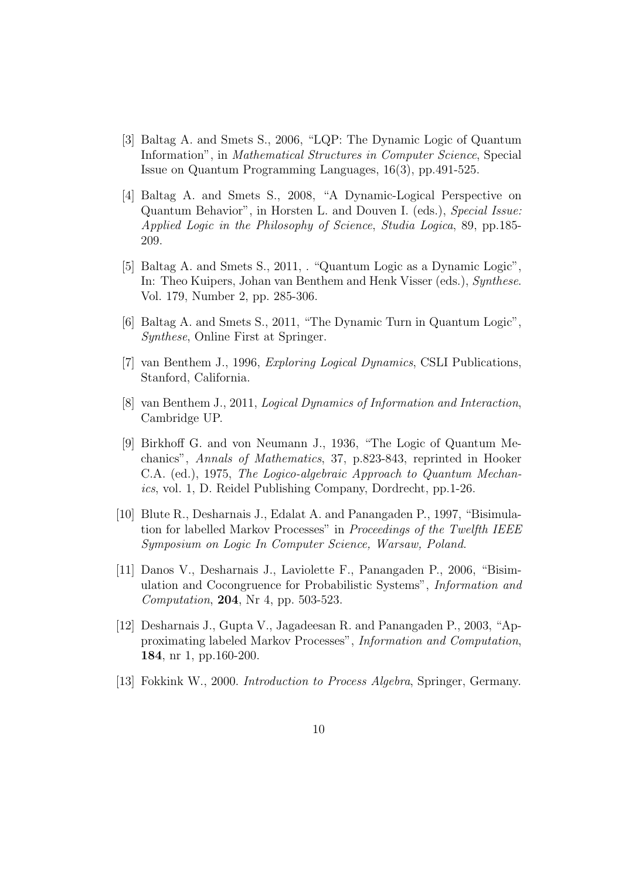- [3] Baltag A. and Smets S., 2006, "LQP: The Dynamic Logic of Quantum Information", in *Mathematical Structures in Computer Science*, Special Issue on Quantum Programming Languages, 16(3), pp.491-525.
- [4] Baltag A. and Smets S., 2008, "A Dynamic-Logical Perspective on Quantum Behavior", in Horsten L. and Douven I. (eds.), *Special Issue: Applied Logic in the Philosophy of Science*, *Studia Logica*, 89, pp.185- 209.
- [5] Baltag A. and Smets S., 2011, . "Quantum Logic as a Dynamic Logic", In: Theo Kuipers, Johan van Benthem and Henk Visser (eds.), *Synthese*. Vol. 179, Number 2, pp. 285-306.
- [6] Baltag A. and Smets S., 2011, "The Dynamic Turn in Quantum Logic", *Synthese*, Online First at Springer.
- [7] van Benthem J., 1996, *Exploring Logical Dynamics*, CSLI Publications, Stanford, California.
- [8] van Benthem J., 2011, *Logical Dynamics of Information and Interaction*, Cambridge UP.
- [9] Birkhoff G. and von Neumann J., 1936, "The Logic of Quantum Mechanics", *Annals of Mathematics*, 37, p.823-843, reprinted in Hooker C.A. (ed.), 1975, *The Logico-algebraic Approach to Quantum Mechanics*, vol. 1, D. Reidel Publishing Company, Dordrecht, pp.1-26.
- [10] Blute R., Desharnais J., Edalat A. and Panangaden P., 1997, "Bisimulation for labelled Markov Processes" in *Proceedings of the Twelfth IEEE Symposium on Logic In Computer Science, Warsaw, Poland*.
- [11] Danos V., Desharnais J., Laviolette F., Panangaden P., 2006, "Bisimulation and Cocongruence for Probabilistic Systems", *Information and Computation*, 204, Nr 4, pp. 503-523.
- [12] Desharnais J., Gupta V., Jagadeesan R. and Panangaden P., 2003, "Approximating labeled Markov Processes", *Information and Computation*, 184, nr 1, pp.160-200.
- [13] Fokkink W., 2000. *Introduction to Process Algebra*, Springer, Germany.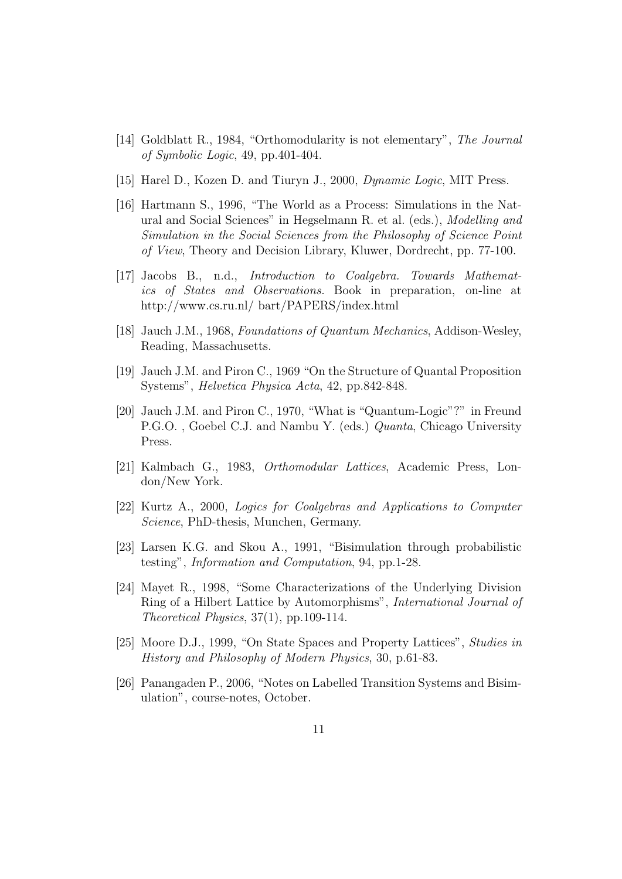- [14] Goldblatt R., 1984, "Orthomodularity is not elementary", *The Journal of Symbolic Logic*, 49, pp.401-404.
- [15] Harel D., Kozen D. and Tiuryn J., 2000, *Dynamic Logic*, MIT Press.
- [16] Hartmann S., 1996, "The World as a Process: Simulations in the Natural and Social Sciences" in Hegselmann R. et al. (eds.), *Modelling and Simulation in the Social Sciences from the Philosophy of Science Point of View*, Theory and Decision Library, Kluwer, Dordrecht, pp. 77-100.
- [17] Jacobs B., n.d., *Introduction to Coalgebra. Towards Mathematics of States and Observations.* Book in preparation, on-line at http://www.cs.ru.nl/ bart/PAPERS/index.html
- [18] Jauch J.M., 1968, *Foundations of Quantum Mechanics*, Addison-Wesley, Reading, Massachusetts.
- [19] Jauch J.M. and Piron C., 1969 "On the Structure of Quantal Proposition Systems", *Helvetica Physica Acta*, 42, pp.842-848.
- [20] Jauch J.M. and Piron C., 1970, "What is "Quantum-Logic"?" in Freund P.G.O. , Goebel C.J. and Nambu Y. (eds.) *Quanta*, Chicago University Press.
- [21] Kalmbach G., 1983, *Orthomodular Lattices*, Academic Press, London/New York.
- [22] Kurtz A., 2000, *Logics for Coalgebras and Applications to Computer Science*, PhD-thesis, Munchen, Germany.
- [23] Larsen K.G. and Skou A., 1991, "Bisimulation through probabilistic testing", *Information and Computation*, 94, pp.1-28.
- [24] Mayet R., 1998, "Some Characterizations of the Underlying Division Ring of a Hilbert Lattice by Automorphisms", *International Journal of Theoretical Physics*, 37(1), pp.109-114.
- [25] Moore D.J., 1999, "On State Spaces and Property Lattices", *Studies in History and Philosophy of Modern Physics*, 30, p.61-83.
- [26] Panangaden P., 2006, "Notes on Labelled Transition Systems and Bisimulation", course-notes, October.